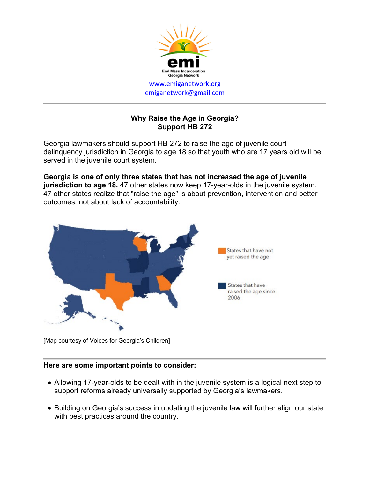

## **Why Raise the Age in Georgia? Support HB 272**

Georgia lawmakers should support HB 272 to raise the age of juvenile court delinquency jurisdiction in Georgia to age 18 so that youth who are 17 years old will be served in the juvenile court system.

**Georgia is one of only three states that has not increased the age of juvenile jurisdiction to age 18.** 47 other states now keep 17-year-olds in the juvenile system. 47 other states realize that "raise the age" is about prevention, intervention and better outcomes, not about lack of accountability.



[Map courtesy of Voices for Georgia's Children]

## **Here are some important points to consider:**

- Allowing 17-year-olds to be dealt with in the juvenile system is a logical next step to support reforms already universally supported by Georgia's lawmakers.
- Building on Georgia's success in updating the juvenile law will further align our state with best practices around the country.